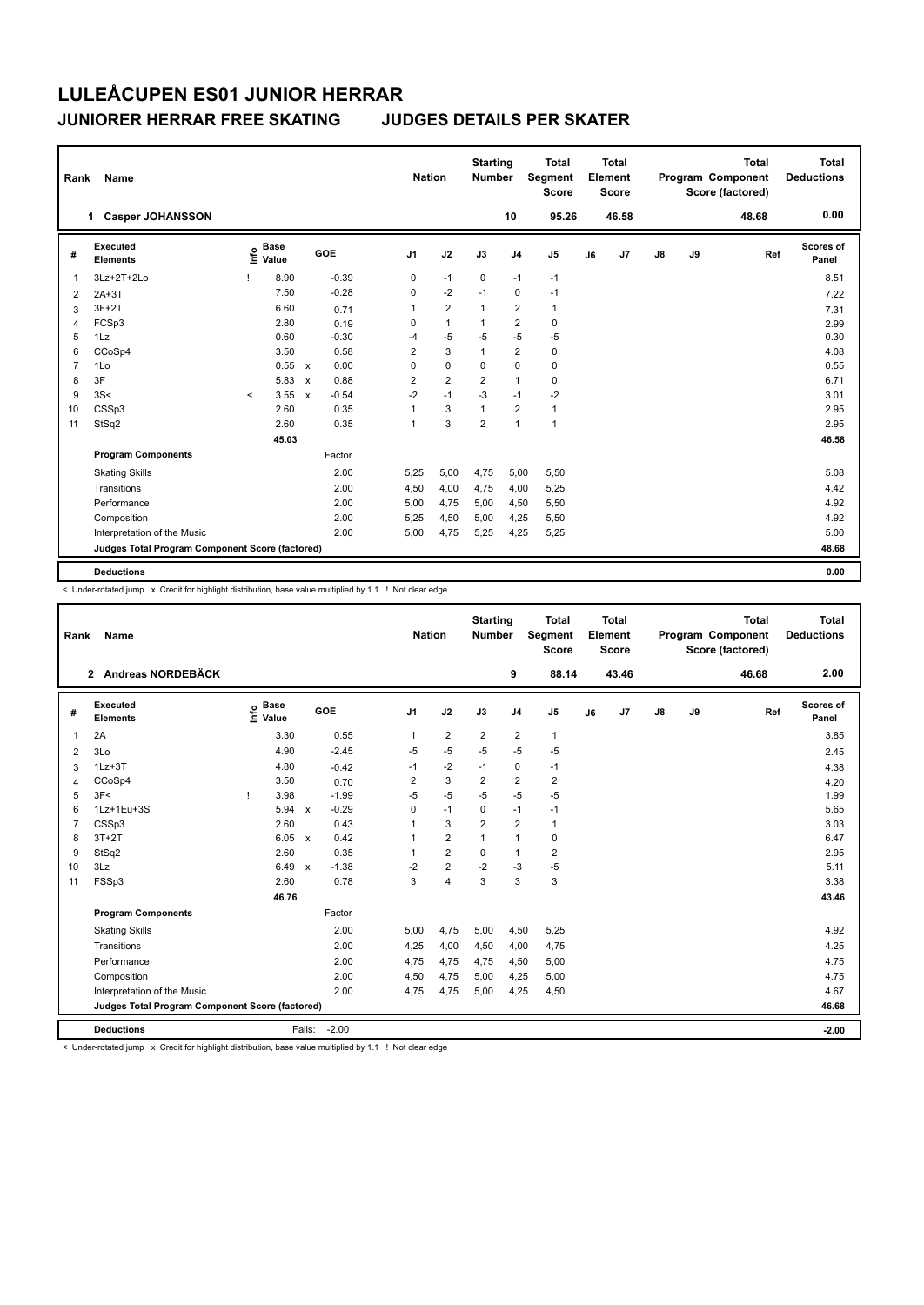## **JUNIORER HERRAR FREE SKATING JUDGES DETAILS PER SKATER**

| Rank           | Name                                            |         |                      |                           |         | <b>Nation</b>  |                | <b>Starting</b><br><b>Number</b> |                | <b>Total</b><br><b>Segment</b><br><b>Score</b> |    | Total<br>Element<br><b>Score</b> |    |    | <b>Total</b><br>Program Component<br>Score (factored) | <b>Total</b><br><b>Deductions</b> |
|----------------|-------------------------------------------------|---------|----------------------|---------------------------|---------|----------------|----------------|----------------------------------|----------------|------------------------------------------------|----|----------------------------------|----|----|-------------------------------------------------------|-----------------------------------|
|                | <b>Casper JOHANSSON</b><br>1.                   |         |                      |                           |         |                |                |                                  | 10             | 95.26                                          |    | 46.58                            |    |    | 48.68                                                 | 0.00                              |
| #              | <b>Executed</b><br><b>Elements</b>              | ۴è      | <b>Base</b><br>Value |                           | GOE     | J <sub>1</sub> | J2             | J3                               | J <sub>4</sub> | J <sub>5</sub>                                 | J6 | J7                               | J8 | J9 | Ref                                                   | <b>Scores of</b><br>Panel         |
| 1              | 3Lz+2T+2Lo                                      |         | 8.90                 |                           | $-0.39$ | $\mathbf 0$    | $-1$           | $\mathbf 0$                      | $-1$           | $-1$                                           |    |                                  |    |    |                                                       | 8.51                              |
| $\overline{2}$ | $2A+3T$                                         |         | 7.50                 |                           | $-0.28$ | 0              | $-2$           | $-1$                             | $\mathbf 0$    | $-1$                                           |    |                                  |    |    |                                                       | 7.22                              |
| 3              | $3F+2T$                                         |         | 6.60                 |                           | 0.71    | 1              | $\overline{2}$ | $\overline{1}$                   | $\overline{2}$ | $\mathbf{1}$                                   |    |                                  |    |    |                                                       | 7.31                              |
| 4              | FCSp3                                           |         | 2.80                 |                           | 0.19    | 0              | $\mathbf{1}$   | $\mathbf{1}$                     | $\overline{2}$ | 0                                              |    |                                  |    |    |                                                       | 2.99                              |
| 5              | 1Lz                                             |         | 0.60                 |                           | $-0.30$ | $-4$           | $-5$           | $-5$                             | $-5$           | $-5$                                           |    |                                  |    |    |                                                       | 0.30                              |
| 6              | CCoSp4                                          |         | 3.50                 |                           | 0.58    | $\overline{2}$ | 3              | $\mathbf{1}$                     | $\overline{2}$ | $\pmb{0}$                                      |    |                                  |    |    |                                                       | 4.08                              |
| $\overline{7}$ | 1Lo                                             |         | 0.55                 | $\boldsymbol{\mathsf{x}}$ | 0.00    | 0              | $\mathbf 0$    | 0                                | $\mathbf 0$    | $\pmb{0}$                                      |    |                                  |    |    |                                                       | 0.55                              |
| 8              | 3F                                              |         | 5.83                 | $\boldsymbol{\mathsf{x}}$ | 0.88    | 2              | $\overline{2}$ | $\overline{2}$                   | $\mathbf{1}$   | 0                                              |    |                                  |    |    |                                                       | 6.71                              |
| 9              | 3S<                                             | $\prec$ | 3.55                 | $\boldsymbol{\mathsf{x}}$ | $-0.54$ | $-2$           | $-1$           | $-3$                             | $-1$           | $-2$                                           |    |                                  |    |    |                                                       | 3.01                              |
| 10             | CSSp3                                           |         | 2.60                 |                           | 0.35    | $\overline{1}$ | 3              | $\mathbf{1}$                     | $\overline{2}$ | $\mathbf{1}$                                   |    |                                  |    |    |                                                       | 2.95                              |
| 11             | StSq2                                           |         | 2.60                 |                           | 0.35    | 1              | 3              | $\overline{2}$                   | $\mathbf{1}$   | $\mathbf{1}$                                   |    |                                  |    |    |                                                       | 2.95                              |
|                |                                                 |         | 45.03                |                           |         |                |                |                                  |                |                                                |    |                                  |    |    |                                                       | 46.58                             |
|                | <b>Program Components</b>                       |         |                      |                           | Factor  |                |                |                                  |                |                                                |    |                                  |    |    |                                                       |                                   |
|                | <b>Skating Skills</b>                           |         |                      |                           | 2.00    | 5,25           | 5,00           | 4,75                             | 5,00           | 5,50                                           |    |                                  |    |    |                                                       | 5.08                              |
|                | Transitions                                     |         |                      |                           | 2.00    | 4,50           | 4,00           | 4,75                             | 4,00           | 5,25                                           |    |                                  |    |    |                                                       | 4.42                              |
|                | Performance                                     |         |                      |                           | 2.00    | 5,00           | 4,75           | 5,00                             | 4,50           | 5,50                                           |    |                                  |    |    |                                                       | 4.92                              |
|                | Composition                                     |         |                      |                           | 2.00    | 5,25           | 4,50           | 5,00                             | 4,25           | 5,50                                           |    |                                  |    |    |                                                       | 4.92                              |
|                | Interpretation of the Music                     |         |                      |                           | 2.00    | 5,00           | 4,75           | 5,25                             | 4,25           | 5,25                                           |    |                                  |    |    |                                                       | 5.00                              |
|                | Judges Total Program Component Score (factored) |         |                      |                           |         |                |                |                                  |                |                                                |    |                                  |    |    |                                                       | 48.68                             |
|                | <b>Deductions</b>                               |         |                      |                           |         |                |                |                                  |                |                                                |    |                                  |    |    |                                                       | 0.00                              |

 $\leq$  Under-rotated jump  $\bar{x}$  Credit for highlight distribution, base value multiplied by 1.1 ! Not clear edge

| Rank           | Name                                            |      |                      |              |         |                         | <b>Nation</b> |                         | <b>Starting</b><br><b>Number</b> |                | <b>Total</b><br><b>Segment</b><br><b>Score</b> |    | Total<br>Element<br><b>Score</b> |               |    | <b>Total</b><br>Program Component<br>Score (factored) | <b>Total</b><br><b>Deductions</b> |
|----------------|-------------------------------------------------|------|----------------------|--------------|---------|-------------------------|---------------|-------------------------|----------------------------------|----------------|------------------------------------------------|----|----------------------------------|---------------|----|-------------------------------------------------------|-----------------------------------|
|                | 2 Andreas NORDEBÄCK                             |      |                      |              |         |                         |               |                         |                                  | 9              | 88.14                                          |    | 43.46                            |               |    | 46.68                                                 | 2.00                              |
| #              | Executed<br><b>Elements</b>                     | ١nf٥ | <b>Base</b><br>Value |              | GOE     | J <sub>1</sub>          |               | J2                      | J3                               | J <sub>4</sub> | J <sub>5</sub>                                 | J6 | J <sub>7</sub>                   | $\mathsf{J}8$ | J9 | Ref                                                   | <b>Scores of</b><br>Panel         |
| $\mathbf 1$    | 2A                                              |      | 3.30                 |              | 0.55    | $\mathbf{1}$            |               | $\overline{2}$          | $\overline{2}$                   | $\overline{2}$ | $\mathbf{1}$                                   |    |                                  |               |    |                                                       | 3.85                              |
| 2              | 3Lo                                             |      | 4.90                 |              | $-2.45$ | $-5$                    |               | $-5$                    | $-5$                             | $-5$           | $-5$                                           |    |                                  |               |    |                                                       | 2.45                              |
| 3              | $1Lz + 3T$                                      |      | 4.80                 |              | $-0.42$ | $-1$                    |               | $-2$                    | $-1$                             | $\mathbf 0$    | $-1$                                           |    |                                  |               |    |                                                       | 4.38                              |
| 4              | CCoSp4                                          |      | 3.50                 |              | 0.70    | $\overline{\mathbf{c}}$ |               | 3                       | $\overline{2}$                   | $\overline{2}$ | 2                                              |    |                                  |               |    |                                                       | 4.20                              |
| 5              | 3F<                                             | т    | 3.98                 |              | $-1.99$ | $-5$                    |               | $-5$                    | $-5$                             | $-5$           | $-5$                                           |    |                                  |               |    |                                                       | 1.99                              |
| 6              | 1Lz+1Eu+3S                                      |      | 5.94                 | $\mathbf{x}$ | $-0.29$ | $\Omega$                |               | $-1$                    | 0                                | $-1$           | $-1$                                           |    |                                  |               |    |                                                       | 5.65                              |
| $\overline{7}$ | CSSp3                                           |      | 2.60                 |              | 0.43    | 1                       |               | 3                       | $\overline{2}$                   | $\overline{2}$ | 1                                              |    |                                  |               |    |                                                       | 3.03                              |
| 8              | $3T+2T$                                         |      | 6.05                 | $\mathsf{x}$ | 0.42    | 1                       |               | $\overline{2}$          | $\mathbf{1}$                     | $\mathbf{1}$   | 0                                              |    |                                  |               |    |                                                       | 6.47                              |
| 9              | StSq2                                           |      | 2.60                 |              | 0.35    | 1                       |               | $\overline{2}$          | $\Omega$                         | $\mathbf{1}$   | $\overline{\mathbf{c}}$                        |    |                                  |               |    |                                                       | 2.95                              |
| 10             | 3Lz                                             |      | 6.49                 | $\mathbf{x}$ | $-1.38$ | $-2$                    |               | $\overline{\mathbf{c}}$ | $-2$                             | $-3$           | $-5$                                           |    |                                  |               |    |                                                       | 5.11                              |
| 11             | FSSp3                                           |      | 2.60                 |              | 0.78    | 3                       |               | $\overline{\mathbf{4}}$ | 3                                | 3              | 3                                              |    |                                  |               |    |                                                       | 3.38                              |
|                |                                                 |      | 46.76                |              |         |                         |               |                         |                                  |                |                                                |    |                                  |               |    |                                                       | 43.46                             |
|                | <b>Program Components</b>                       |      |                      |              | Factor  |                         |               |                         |                                  |                |                                                |    |                                  |               |    |                                                       |                                   |
|                | <b>Skating Skills</b>                           |      |                      |              | 2.00    | 5.00                    |               | 4,75                    | 5,00                             | 4,50           | 5,25                                           |    |                                  |               |    |                                                       | 4.92                              |
|                | Transitions                                     |      |                      |              | 2.00    | 4,25                    |               | 4,00                    | 4,50                             | 4,00           | 4,75                                           |    |                                  |               |    |                                                       | 4.25                              |
|                | Performance                                     |      |                      |              | 2.00    | 4,75                    |               | 4,75                    | 4,75                             | 4,50           | 5,00                                           |    |                                  |               |    |                                                       | 4.75                              |
|                | Composition                                     |      |                      |              | 2.00    | 4,50                    |               | 4,75                    | 5,00                             | 4,25           | 5,00                                           |    |                                  |               |    |                                                       | 4.75                              |
|                | Interpretation of the Music                     |      |                      |              | 2.00    | 4.75                    |               | 4,75                    | 5,00                             | 4,25           | 4,50                                           |    |                                  |               |    |                                                       | 4.67                              |
|                | Judges Total Program Component Score (factored) |      |                      |              |         |                         |               |                         |                                  |                |                                                |    |                                  |               |    |                                                       | 46.68                             |
|                | <b>Deductions</b>                               |      |                      | Falls:       | $-2.00$ |                         |               |                         |                                  |                |                                                |    |                                  |               |    |                                                       | $-2.00$                           |

< Under-rotated jump x Credit for highlight distribution, base value multiplied by 1.1 ! Not clear edge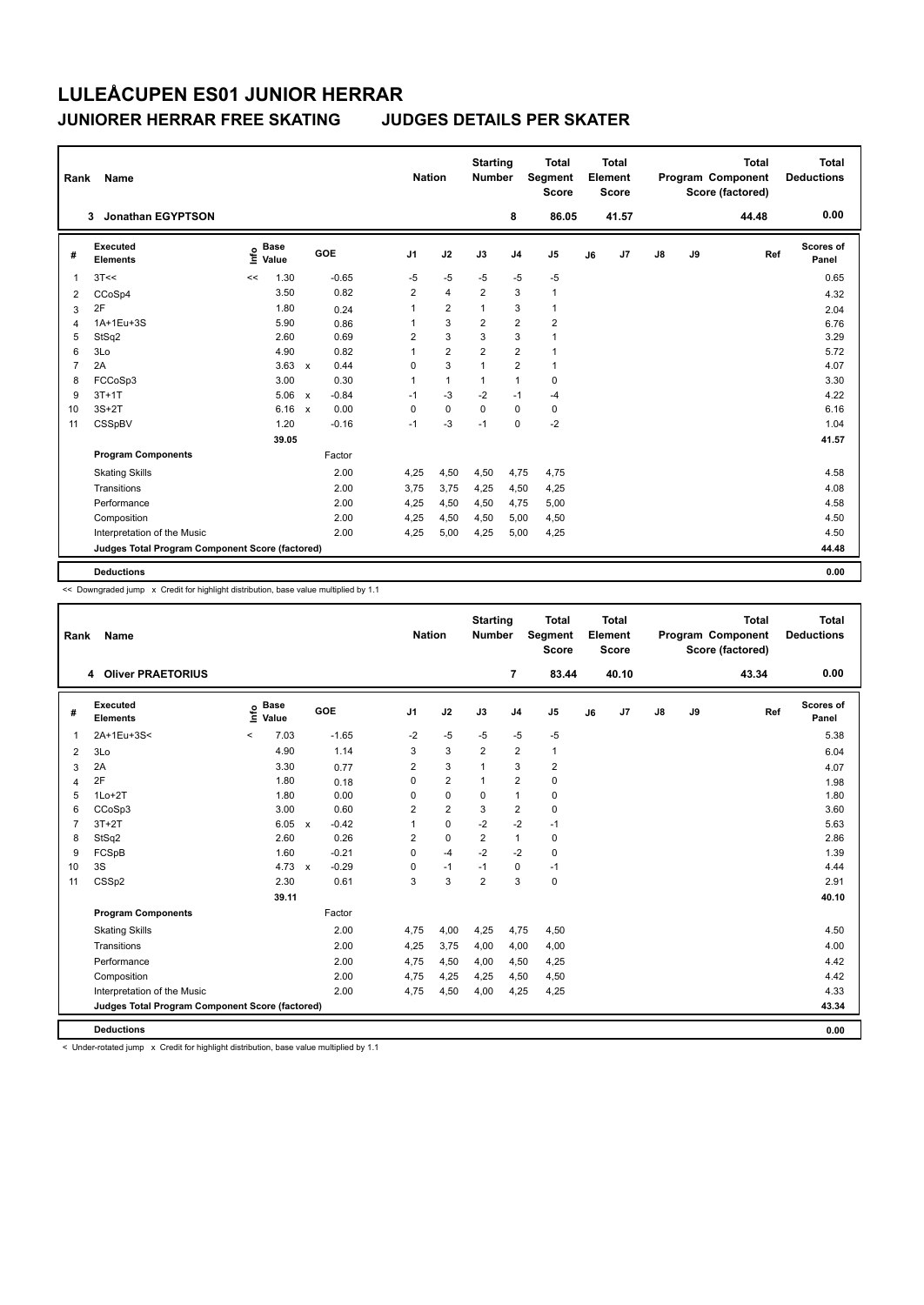## **JUNIORER HERRAR FREE SKATING JUDGES DETAILS PER SKATER**

| Rank           | Name                                            |                              |              |         | <b>Nation</b>  |                | <b>Starting</b><br><b>Number</b> |                         | <b>Total</b><br>Segment<br><b>Score</b> |    | Total<br>Element<br><b>Score</b> |               |    | <b>Total</b><br><b>Program Component</b><br>Score (factored) | <b>Total</b><br><b>Deductions</b> |
|----------------|-------------------------------------------------|------------------------------|--------------|---------|----------------|----------------|----------------------------------|-------------------------|-----------------------------------------|----|----------------------------------|---------------|----|--------------------------------------------------------------|-----------------------------------|
|                | <b>Jonathan EGYPTSON</b><br>3                   |                              |              |         |                |                |                                  | 8                       | 86.05                                   |    | 41.57                            |               |    | 44.48                                                        | 0.00                              |
| #              | <b>Executed</b><br><b>Elements</b>              | <b>Base</b><br>١nf٥<br>Value |              | GOE     | J <sub>1</sub> | J2             | J3                               | J <sub>4</sub>          | J <sub>5</sub>                          | J6 | J7                               | $\mathsf{J}8$ | J9 | Ref                                                          | <b>Scores of</b><br>Panel         |
| 1              | 3T<<                                            | 1.30<br><<                   |              | $-0.65$ | $-5$           | $-5$           | $-5$                             | $-5$                    | $-5$                                    |    |                                  |               |    |                                                              | 0.65                              |
| 2              | CCoSp4                                          | 3.50                         |              | 0.82    | $\overline{2}$ | $\overline{4}$ | $\overline{2}$                   | 3                       | $\mathbf{1}$                            |    |                                  |               |    |                                                              | 4.32                              |
| 3              | 2F                                              | 1.80                         |              | 0.24    | 1              | $\overline{2}$ | 1                                | 3                       | $\mathbf{1}$                            |    |                                  |               |    |                                                              | 2.04                              |
| 4              | 1A+1Eu+3S                                       | 5.90                         |              | 0.86    | 1              | 3              | $\overline{\mathbf{c}}$          | $\overline{\mathbf{c}}$ | $\overline{2}$                          |    |                                  |               |    |                                                              | 6.76                              |
| 5              | StSq2                                           | 2.60                         |              | 0.69    | $\overline{2}$ | 3              | 3                                | 3                       | $\mathbf{1}$                            |    |                                  |               |    |                                                              | 3.29                              |
| 6              | 3Lo                                             | 4.90                         |              | 0.82    | $\mathbf{1}$   | $\overline{2}$ | $\overline{2}$                   | $\overline{2}$          | $\mathbf{1}$                            |    |                                  |               |    |                                                              | 5.72                              |
| $\overline{7}$ | 2A                                              | 3.63                         | $\mathsf{x}$ | 0.44    | 0              | 3              | 1                                | $\overline{\mathbf{c}}$ | $\mathbf{1}$                            |    |                                  |               |    |                                                              | 4.07                              |
| 8              | FCCoSp3                                         | 3.00                         |              | 0.30    | 1              | $\mathbf{1}$   | 1                                | $\mathbf{1}$            | 0                                       |    |                                  |               |    |                                                              | 3.30                              |
| 9              | $3T+1T$                                         | 5.06                         | $\mathsf{x}$ | $-0.84$ | $-1$           | $-3$           | $-2$                             | $-1$                    | $-4$                                    |    |                                  |               |    |                                                              | 4.22                              |
| 10             | $3S+2T$                                         | 6.16                         | $\mathbf x$  | 0.00    | 0              | $\pmb{0}$      | $\mathbf 0$                      | $\mathbf 0$             | $\pmb{0}$                               |    |                                  |               |    |                                                              | 6.16                              |
| 11             | CSSpBV                                          | 1.20                         |              | $-0.16$ | $-1$           | $-3$           | $-1$                             | 0                       | $-2$                                    |    |                                  |               |    |                                                              | 1.04                              |
|                |                                                 | 39.05                        |              |         |                |                |                                  |                         |                                         |    |                                  |               |    |                                                              | 41.57                             |
|                | <b>Program Components</b>                       |                              |              | Factor  |                |                |                                  |                         |                                         |    |                                  |               |    |                                                              |                                   |
|                | <b>Skating Skills</b>                           |                              |              | 2.00    | 4,25           | 4,50           | 4,50                             | 4,75                    | 4,75                                    |    |                                  |               |    |                                                              | 4.58                              |
|                | Transitions                                     |                              |              | 2.00    | 3.75           | 3,75           | 4,25                             | 4,50                    | 4,25                                    |    |                                  |               |    |                                                              | 4.08                              |
|                | Performance                                     |                              |              | 2.00    | 4,25           | 4,50           | 4,50                             | 4,75                    | 5,00                                    |    |                                  |               |    |                                                              | 4.58                              |
|                | Composition                                     |                              |              | 2.00    | 4,25           | 4,50           | 4,50                             | 5,00                    | 4,50                                    |    |                                  |               |    |                                                              | 4.50                              |
|                | Interpretation of the Music                     |                              |              | 2.00    | 4,25           | 5,00           | 4,25                             | 5,00                    | 4,25                                    |    |                                  |               |    |                                                              | 4.50                              |
|                | Judges Total Program Component Score (factored) |                              |              |         |                |                |                                  |                         |                                         |    |                                  |               |    |                                                              | 44.48                             |
|                | <b>Deductions</b>                               |                              |              |         |                |                |                                  |                         |                                         |    |                                  |               |    |                                                              | 0.00                              |

<< Downgraded jump x Credit for highlight distribution, base value multiplied by 1.1

| Rank           | Name                                            |         |                      |                         | <b>Nation</b>  |                         | <b>Starting</b><br><b>Number</b> |                | <b>Total</b><br>Segment<br><b>Score</b> |    | <b>Total</b><br>Element<br><b>Score</b> |    |    | <b>Total</b><br>Program Component<br>Score (factored) | <b>Total</b><br><b>Deductions</b> |
|----------------|-------------------------------------------------|---------|----------------------|-------------------------|----------------|-------------------------|----------------------------------|----------------|-----------------------------------------|----|-----------------------------------------|----|----|-------------------------------------------------------|-----------------------------------|
|                | 4 Oliver PRAETORIUS                             |         |                      |                         |                |                         |                                  | $\overline{7}$ | 83.44                                   |    | 40.10                                   |    |    | 43.34                                                 | 0.00                              |
| #              | Executed<br><b>Elements</b>                     | lnfo    | <b>Base</b><br>Value | <b>GOE</b>              | J <sub>1</sub> | J2                      | J3                               | J <sub>4</sub> | J <sub>5</sub>                          | J6 | J <sub>7</sub>                          | J8 | J9 | Ref                                                   | Scores of<br>Panel                |
| $\mathbf{1}$   | 2A+1Eu+3S<                                      | $\prec$ | 7.03                 | $-1.65$                 | $-2$           | $-5$                    | $-5$                             | $-5$           | $-5$                                    |    |                                         |    |    |                                                       | 5.38                              |
| 2              | 3Lo                                             |         | 4.90                 | 1.14                    | 3              | 3                       | $\overline{2}$                   | $\overline{2}$ | $\mathbf{1}$                            |    |                                         |    |    |                                                       | 6.04                              |
| 3              | 2A                                              |         | 3.30                 | 0.77                    | $\overline{2}$ | 3                       | $\mathbf{1}$                     | 3              | $\overline{\mathbf{c}}$                 |    |                                         |    |    |                                                       | 4.07                              |
| $\overline{4}$ | 2F                                              |         | 1.80                 | 0.18                    | $\Omega$       | $\overline{2}$          | $\mathbf{1}$                     | $\overline{2}$ | 0                                       |    |                                         |    |    |                                                       | 1.98                              |
| 5              | $1Lo+2T$                                        |         | 1.80                 | 0.00                    | 0              | $\mathbf 0$             | 0                                | $\mathbf{1}$   | 0                                       |    |                                         |    |    |                                                       | 1.80                              |
| 6              | CCoSp3                                          |         | 3.00                 | 0.60                    | $\overline{2}$ | $\overline{\mathbf{c}}$ | 3                                | $\overline{2}$ | 0                                       |    |                                         |    |    |                                                       | 3.60                              |
| $\overline{7}$ | $3T+2T$                                         |         | 6.05                 | $-0.42$<br>$\mathsf{x}$ | 1              | $\mathbf 0$             | $-2$                             | $-2$           | $-1$                                    |    |                                         |    |    |                                                       | 5.63                              |
| 8              | StSq2                                           |         | 2.60                 | 0.26                    | $\overline{2}$ | $\mathbf 0$             | $\overline{2}$                   | $\mathbf{1}$   | 0                                       |    |                                         |    |    |                                                       | 2.86                              |
| 9              | FCSpB                                           |         | 1.60                 | $-0.21$                 | $\Omega$       | -4                      | $-2$                             | $-2$           | 0                                       |    |                                         |    |    |                                                       | 1.39                              |
| 10             | 3S                                              |         | $4.73 \times$        | $-0.29$                 | 0              | $-1$                    | $-1$                             | 0              | $-1$                                    |    |                                         |    |    |                                                       | 4.44                              |
| 11             | CSSp2                                           |         | 2.30                 | 0.61                    | 3              | 3                       | $\overline{2}$                   | 3              | 0                                       |    |                                         |    |    |                                                       | 2.91                              |
|                |                                                 |         | 39.11                |                         |                |                         |                                  |                |                                         |    |                                         |    |    |                                                       | 40.10                             |
|                | <b>Program Components</b>                       |         |                      | Factor                  |                |                         |                                  |                |                                         |    |                                         |    |    |                                                       |                                   |
|                | <b>Skating Skills</b>                           |         |                      | 2.00                    | 4.75           | 4,00                    | 4,25                             | 4,75           | 4,50                                    |    |                                         |    |    |                                                       | 4.50                              |
|                | Transitions                                     |         |                      | 2.00                    | 4,25           | 3,75                    | 4,00                             | 4,00           | 4,00                                    |    |                                         |    |    |                                                       | 4.00                              |
|                | Performance                                     |         |                      | 2.00                    | 4,75           | 4,50                    | 4,00                             | 4,50           | 4,25                                    |    |                                         |    |    |                                                       | 4.42                              |
|                | Composition                                     |         |                      | 2.00                    | 4,75           | 4,25                    | 4,25                             | 4,50           | 4,50                                    |    |                                         |    |    |                                                       | 4.42                              |
|                | Interpretation of the Music                     |         |                      | 2.00                    | 4,75           | 4,50                    | 4,00                             | 4,25           | 4,25                                    |    |                                         |    |    |                                                       | 4.33                              |
|                | Judges Total Program Component Score (factored) |         |                      |                         |                |                         |                                  |                |                                         |    |                                         |    |    |                                                       | 43.34                             |
|                | <b>Deductions</b>                               |         |                      |                         |                |                         |                                  |                |                                         |    |                                         |    |    |                                                       | 0.00                              |

< Under-rotated jump x Credit for highlight distribution, base value multiplied by 1.1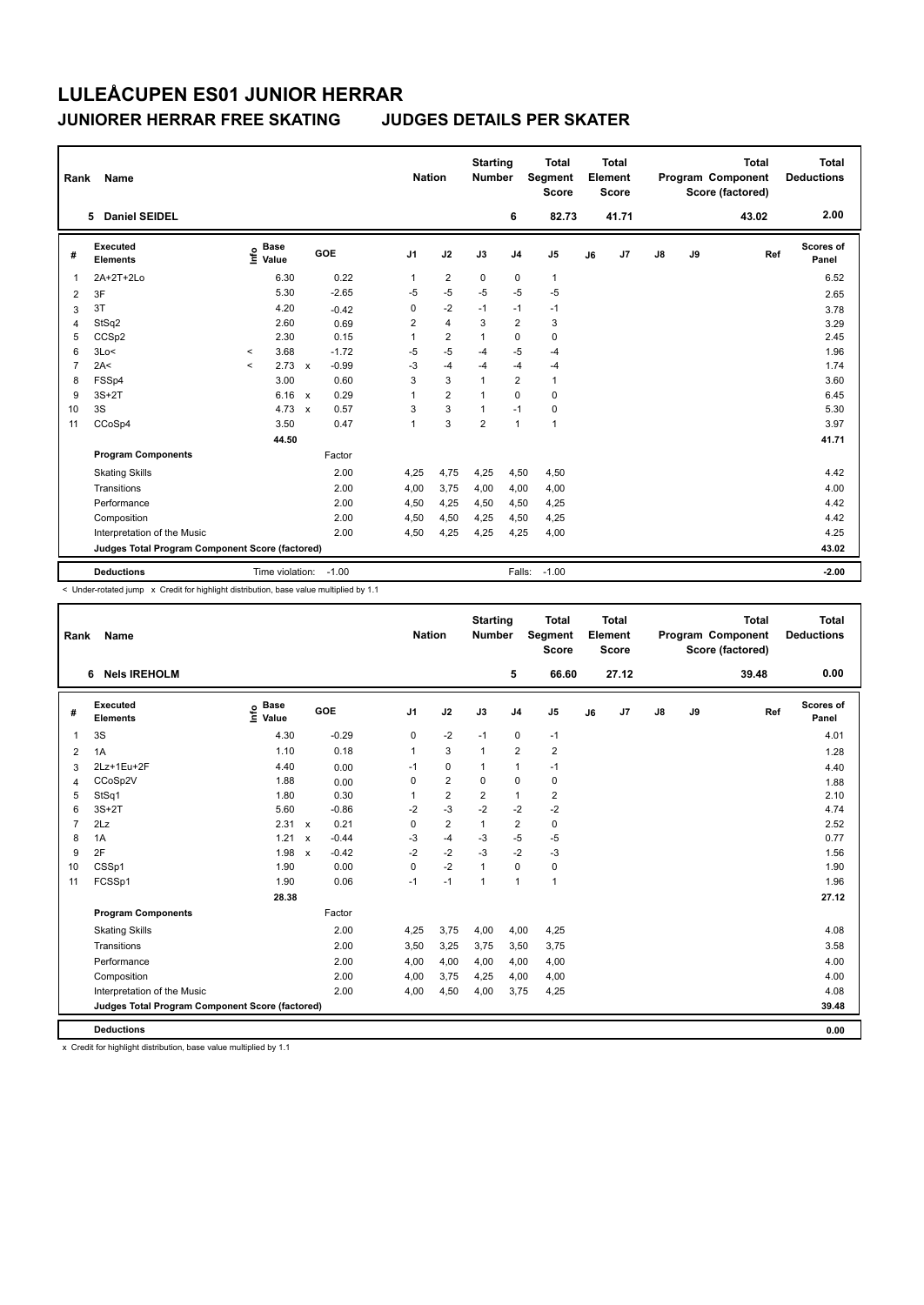## **JUNIORER HERRAR FREE SKATING JUDGES DETAILS PER SKATER**

| Rank           | Name                                            |                                    |                         | <b>Nation</b>  |                         | <b>Starting</b><br><b>Number</b> |                | <b>Total</b><br>Segment<br><b>Score</b> |    | <b>Total</b><br>Element<br>Score |               |    | <b>Total</b><br>Program Component<br>Score (factored) | <b>Total</b><br><b>Deductions</b> |
|----------------|-------------------------------------------------|------------------------------------|-------------------------|----------------|-------------------------|----------------------------------|----------------|-----------------------------------------|----|----------------------------------|---------------|----|-------------------------------------------------------|-----------------------------------|
|                | <b>Daniel SEIDEL</b><br>5.                      |                                    |                         |                |                         |                                  | 6              | 82.73                                   |    | 41.71                            |               |    | 43.02                                                 | 2.00                              |
| #              | <b>Executed</b><br><b>Elements</b>              | <b>Base</b><br>$\frac{6}{5}$ Value | <b>GOE</b>              | J <sub>1</sub> | J2                      | J3                               | J <sub>4</sub> | J <sub>5</sub>                          | J6 | J7                               | $\mathsf{J}8$ | J9 | Ref                                                   | Scores of<br>Panel                |
| -1             | 2A+2T+2Lo                                       | 6.30                               | 0.22                    | 1              | $\overline{2}$          | $\mathbf 0$                      | 0              | $\mathbf{1}$                            |    |                                  |               |    |                                                       | 6.52                              |
| $\overline{2}$ | 3F                                              | 5.30                               | $-2.65$                 | $-5$           | $-5$                    | $-5$                             | $-5$           | $-5$                                    |    |                                  |               |    |                                                       | 2.65                              |
| 3              | 3T                                              | 4.20                               | $-0.42$                 | 0              | $-2$                    | $-1$                             | $-1$           | $-1$                                    |    |                                  |               |    |                                                       | 3.78                              |
| 4              | StSq2                                           | 2.60                               | 0.69                    | $\overline{2}$ | $\overline{\mathbf{4}}$ | 3                                | $\overline{2}$ | 3                                       |    |                                  |               |    |                                                       | 3.29                              |
| 5              | CCSp2                                           | 2.30                               | 0.15                    | 1              | 2                       | 1                                | 0              | $\mathbf 0$                             |    |                                  |               |    |                                                       | 2.45                              |
| 6              | 3Lo<                                            | 3.68<br>$\prec$                    | $-1.72$                 | $-5$           | $-5$                    | $-4$                             | $-5$           | $-4$                                    |    |                                  |               |    |                                                       | 1.96                              |
| $\overline{7}$ | 2A<                                             | 2.73<br>$\hat{\phantom{a}}$        | $-0.99$<br>$\mathbf{x}$ | $-3$           | $-4$                    | $-4$                             | $-4$           | $-4$                                    |    |                                  |               |    |                                                       | 1.74                              |
| 8              | FSSp4                                           | 3.00                               | 0.60                    | 3              | $\overline{3}$          | 1                                | $\overline{2}$ | $\mathbf{1}$                            |    |                                  |               |    |                                                       | 3.60                              |
| 9              | $3S+2T$                                         | 6.16                               | 0.29<br>$\mathsf{x}$    | 1              | $\overline{2}$          | 1                                | $\Omega$       | $\mathbf 0$                             |    |                                  |               |    |                                                       | 6.45                              |
| 10             | 3S                                              | 4.73                               | 0.57<br>$\mathbf{x}$    | 3              | 3                       | 1                                | $-1$           | $\pmb{0}$                               |    |                                  |               |    |                                                       | 5.30                              |
| 11             | CCoSp4                                          | 3.50                               | 0.47                    | 1              | 3                       | $\overline{2}$                   | $\overline{1}$ | $\mathbf{1}$                            |    |                                  |               |    |                                                       | 3.97                              |
|                |                                                 | 44.50                              |                         |                |                         |                                  |                |                                         |    |                                  |               |    |                                                       | 41.71                             |
|                | <b>Program Components</b>                       |                                    | Factor                  |                |                         |                                  |                |                                         |    |                                  |               |    |                                                       |                                   |
|                | <b>Skating Skills</b>                           |                                    | 2.00                    | 4,25           | 4,75                    | 4,25                             | 4,50           | 4,50                                    |    |                                  |               |    |                                                       | 4.42                              |
|                | Transitions                                     |                                    | 2.00                    | 4,00           | 3,75                    | 4,00                             | 4,00           | 4,00                                    |    |                                  |               |    |                                                       | 4.00                              |
|                | Performance                                     |                                    | 2.00                    | 4,50           | 4,25                    | 4,50                             | 4,50           | 4,25                                    |    |                                  |               |    |                                                       | 4.42                              |
|                | Composition                                     |                                    | 2.00                    | 4,50           | 4,50                    | 4,25                             | 4,50           | 4,25                                    |    |                                  |               |    |                                                       | 4.42                              |
|                | Interpretation of the Music                     |                                    | 2.00                    | 4,50           | 4,25                    | 4,25                             | 4,25           | 4,00                                    |    |                                  |               |    |                                                       | 4.25                              |
|                | Judges Total Program Component Score (factored) |                                    |                         |                |                         |                                  |                |                                         |    |                                  |               |    |                                                       | 43.02                             |
|                | <b>Deductions</b>                               | Time violation:                    | $-1.00$                 |                |                         |                                  | Falls:         | $-1.00$                                 |    |                                  |               |    |                                                       | $-2.00$                           |

< Under-rotated jump x Credit for highlight distribution, base value multiplied by 1.1

| Rank           | Name                                            |                              |                           |         |                | <b>Nation</b>  | <b>Starting</b><br>Number |                | <b>Total</b><br>Segment<br><b>Score</b> |    | <b>Total</b><br>Element<br><b>Score</b> |               |    | <b>Total</b><br>Program Component<br>Score (factored) | <b>Total</b><br><b>Deductions</b> |
|----------------|-------------------------------------------------|------------------------------|---------------------------|---------|----------------|----------------|---------------------------|----------------|-----------------------------------------|----|-----------------------------------------|---------------|----|-------------------------------------------------------|-----------------------------------|
|                | 6 Nels IREHOLM                                  |                              |                           |         |                |                |                           | 5              | 66.60                                   |    | 27.12                                   |               |    | 39.48                                                 | 0.00                              |
| #              | Executed<br><b>Elements</b>                     | <b>Base</b><br>Info<br>Value |                           | GOE     | J <sub>1</sub> | J2             | J3                        | J <sub>4</sub> | J5                                      | J6 | J7                                      | $\mathsf{J}8$ | J9 | Ref                                                   | Scores of<br>Panel                |
| 1              | 3S                                              | 4.30                         |                           | $-0.29$ | 0              | $-2$           | $-1$                      | $\mathbf 0$    | $-1$                                    |    |                                         |               |    |                                                       | 4.01                              |
| $\overline{2}$ | 1A                                              | 1.10                         |                           | 0.18    | $\mathbf{1}$   | 3              | $\mathbf{1}$              | $\overline{2}$ | $\overline{2}$                          |    |                                         |               |    |                                                       | 1.28                              |
| 3              | 2Lz+1Eu+2F                                      | 4.40                         |                           | 0.00    | $-1$           | $\mathbf 0$    | $\mathbf{1}$              | $\mathbf{1}$   | $-1$                                    |    |                                         |               |    |                                                       | 4.40                              |
| 4              | CCoSp2V                                         | 1.88                         |                           | 0.00    | 0              | $\overline{2}$ | 0                         | 0              | $\pmb{0}$                               |    |                                         |               |    |                                                       | 1.88                              |
| 5              | StSq1                                           | 1.80                         |                           | 0.30    | 1              | $\overline{2}$ | $\overline{2}$            | $\mathbf{1}$   | $\overline{2}$                          |    |                                         |               |    |                                                       | 2.10                              |
| 6              | $3S+2T$                                         | 5.60                         |                           | $-0.86$ | $-2$           | $-3$           | $-2$                      | $-2$           | $-2$                                    |    |                                         |               |    |                                                       | 4.74                              |
| $\overline{7}$ | 2Lz                                             | 2.31 x                       |                           | 0.21    | 0              | $\overline{2}$ |                           | $\overline{2}$ | $\pmb{0}$                               |    |                                         |               |    |                                                       | 2.52                              |
| 8              | 1A                                              | 1.21                         | $\mathsf{x}$              | $-0.44$ | -3             | $-4$           | -3                        | $-5$           | $-5$                                    |    |                                         |               |    |                                                       | 0.77                              |
| 9              | 2F                                              | 1.98                         | $\boldsymbol{\mathsf{x}}$ | $-0.42$ | $-2$           | $-2$           | $-3$                      | $-2$           | $-3$                                    |    |                                         |               |    |                                                       | 1.56                              |
| 10             | CSSp1                                           | 1.90                         |                           | 0.00    | 0              | $-2$           |                           | 0              | $\pmb{0}$                               |    |                                         |               |    |                                                       | 1.90                              |
| 11             | FCSSp1                                          | 1.90                         |                           | 0.06    | $-1$           | $-1$           | 1                         | $\mathbf{1}$   | $\mathbf{1}$                            |    |                                         |               |    |                                                       | 1.96                              |
|                |                                                 | 28.38                        |                           |         |                |                |                           |                |                                         |    |                                         |               |    |                                                       | 27.12                             |
|                | <b>Program Components</b>                       |                              |                           | Factor  |                |                |                           |                |                                         |    |                                         |               |    |                                                       |                                   |
|                | <b>Skating Skills</b>                           |                              |                           | 2.00    | 4,25           | 3,75           | 4,00                      | 4,00           | 4,25                                    |    |                                         |               |    |                                                       | 4.08                              |
|                | Transitions                                     |                              |                           | 2.00    | 3,50           | 3,25           | 3,75                      | 3,50           | 3,75                                    |    |                                         |               |    |                                                       | 3.58                              |
|                | Performance                                     |                              |                           | 2.00    | 4,00           | 4,00           | 4,00                      | 4,00           | 4,00                                    |    |                                         |               |    |                                                       | 4.00                              |
|                | Composition                                     |                              |                           | 2.00    | 4,00           | 3,75           | 4,25                      | 4,00           | 4,00                                    |    |                                         |               |    |                                                       | 4.00                              |
|                | Interpretation of the Music                     |                              |                           | 2.00    | 4,00           | 4,50           | 4,00                      | 3,75           | 4,25                                    |    |                                         |               |    |                                                       | 4.08                              |
|                | Judges Total Program Component Score (factored) |                              |                           |         |                |                |                           |                |                                         |    |                                         |               |    |                                                       | 39.48                             |
|                | <b>Deductions</b>                               |                              |                           |         |                |                |                           |                |                                         |    |                                         |               |    |                                                       | 0.00                              |

x Credit for highlight distribution, base value multiplied by 1.1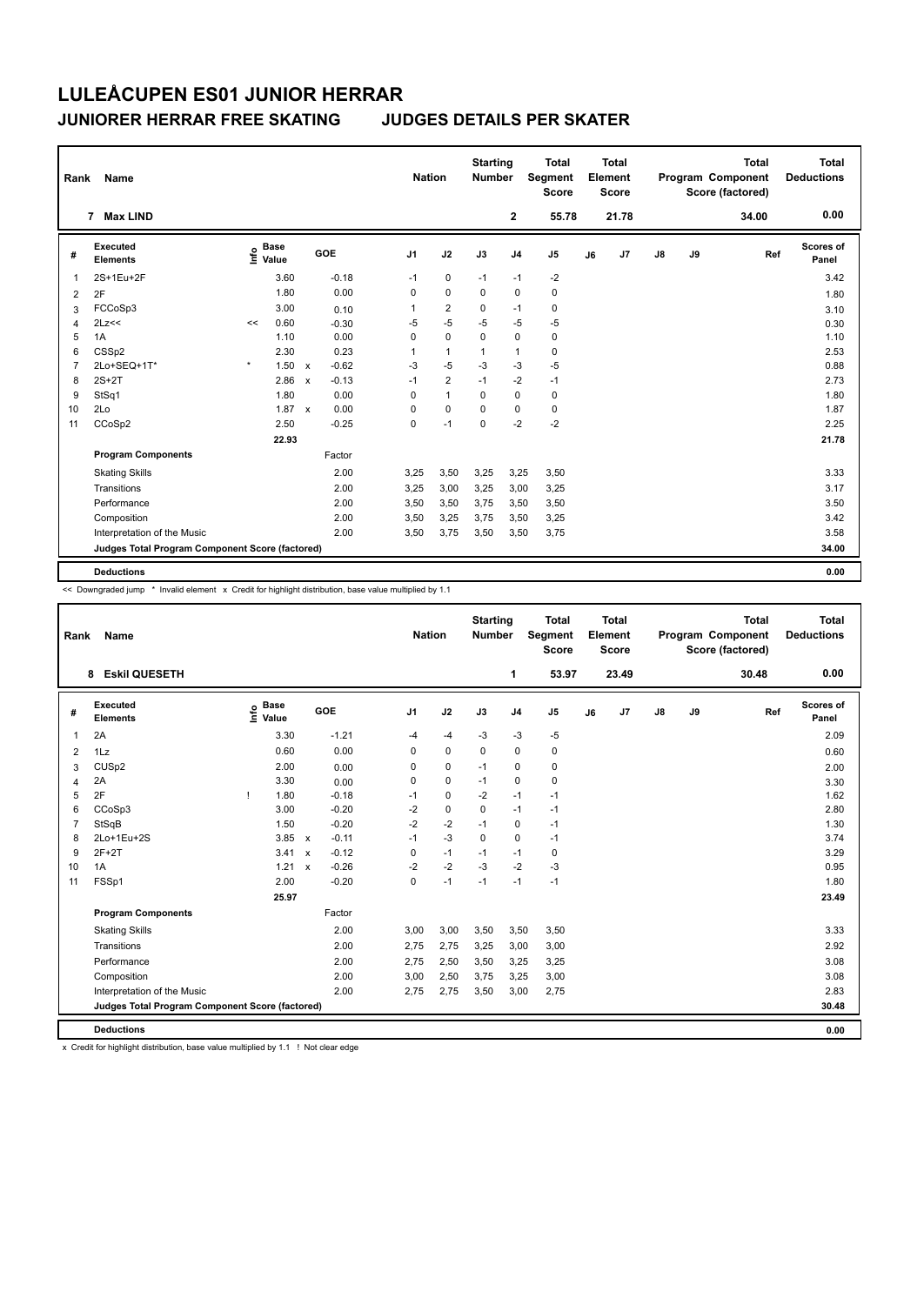## **JUNIORER HERRAR FREE SKATING JUDGES DETAILS PER SKATER**

| Rank           | Name                                            |         |                                  |                           |            |          | <b>Nation</b>  | <b>Starting</b><br><b>Number</b> |                | <b>Total</b><br>Segment<br><b>Score</b> |    | <b>Total</b><br>Element<br><b>Score</b> |               |    | <b>Total</b><br>Program Component<br>Score (factored) | <b>Total</b><br><b>Deductions</b> |
|----------------|-------------------------------------------------|---------|----------------------------------|---------------------------|------------|----------|----------------|----------------------------------|----------------|-----------------------------------------|----|-----------------------------------------|---------------|----|-------------------------------------------------------|-----------------------------------|
|                | 7 Max LIND                                      |         |                                  |                           |            |          |                |                                  | $\mathbf{2}$   | 55.78                                   |    | 21.78                                   |               |    | 34.00                                                 | 0.00                              |
| #              | Executed<br><b>Elements</b>                     |         | <b>Base</b><br>e Base<br>⊆ Value |                           | <b>GOE</b> | J1       | J2             | J3                               | J <sub>4</sub> | J <sub>5</sub>                          | J6 | J <sub>7</sub>                          | $\mathsf{J}8$ | J9 | Ref                                                   | <b>Scores of</b><br>Panel         |
|                | 2S+1Eu+2F                                       |         | 3.60                             |                           | $-0.18$    | $-1$     | $\mathbf 0$    | $-1$                             | $-1$           | $-2$                                    |    |                                         |               |    |                                                       | 3.42                              |
| $\overline{2}$ | 2F                                              |         | 1.80                             |                           | 0.00       | 0        | $\mathbf 0$    | 0                                | 0              | 0                                       |    |                                         |               |    |                                                       | 1.80                              |
| 3              | FCCoSp3                                         |         | 3.00                             |                           | 0.10       | 1        | $\overline{2}$ | 0                                | $-1$           | 0                                       |    |                                         |               |    |                                                       | 3.10                              |
| $\overline{4}$ | 2Lz<<                                           | <<      | 0.60                             |                           | $-0.30$    | $-5$     | $-5$           | $-5$                             | $-5$           | $-5$                                    |    |                                         |               |    |                                                       | 0.30                              |
| 5              | 1A                                              |         | 1.10                             |                           | 0.00       | $\Omega$ | $\mathbf 0$    | $\Omega$                         | $\mathbf 0$    | $\pmb{0}$                               |    |                                         |               |    |                                                       | 1.10                              |
| 6              | CSSp2                                           |         | 2.30                             |                           | 0.23       | 1        | $\mathbf{1}$   | 1                                | $\overline{1}$ | $\pmb{0}$                               |    |                                         |               |    |                                                       | 2.53                              |
| 7              | 2Lo+SEQ+1T*                                     | $\star$ | 1.50                             | $\mathsf{x}$              | $-0.62$    | $-3$     | $-5$           | $-3$                             | -3             | $-5$                                    |    |                                         |               |    |                                                       | 0.88                              |
| 8              | $2S+2T$                                         |         | 2.86                             | $\boldsymbol{\mathsf{x}}$ | $-0.13$    | $-1$     | $\overline{2}$ | $-1$                             | $-2$           | $-1$                                    |    |                                         |               |    |                                                       | 2.73                              |
| 9              | StSq1                                           |         | 1.80                             |                           | 0.00       | 0        | $\mathbf{1}$   | $\Omega$                         | $\mathbf 0$    | $\pmb{0}$                               |    |                                         |               |    |                                                       | 1.80                              |
| 10             | 2Lo                                             |         | 1.87                             | $\boldsymbol{\mathsf{x}}$ | 0.00       | 0        | $\mathbf 0$    | 0                                | 0              | $\pmb{0}$                               |    |                                         |               |    |                                                       | 1.87                              |
| 11             | CCoSp2                                          |         | 2.50                             |                           | $-0.25$    | 0        | $-1$           | $\Omega$                         | $-2$           | $-2$                                    |    |                                         |               |    |                                                       | 2.25                              |
|                |                                                 |         | 22.93                            |                           |            |          |                |                                  |                |                                         |    |                                         |               |    |                                                       | 21.78                             |
|                | <b>Program Components</b>                       |         |                                  |                           | Factor     |          |                |                                  |                |                                         |    |                                         |               |    |                                                       |                                   |
|                | <b>Skating Skills</b>                           |         |                                  |                           | 2.00       | 3,25     | 3,50           | 3,25                             | 3,25           | 3,50                                    |    |                                         |               |    |                                                       | 3.33                              |
|                | Transitions                                     |         |                                  |                           | 2.00       | 3,25     | 3,00           | 3,25                             | 3,00           | 3,25                                    |    |                                         |               |    |                                                       | 3.17                              |
|                | Performance                                     |         |                                  |                           | 2.00       | 3,50     | 3,50           | 3,75                             | 3,50           | 3,50                                    |    |                                         |               |    |                                                       | 3.50                              |
|                | Composition                                     |         |                                  |                           | 2.00       | 3,50     | 3,25           | 3,75                             | 3,50           | 3,25                                    |    |                                         |               |    |                                                       | 3.42                              |
|                | Interpretation of the Music                     |         |                                  |                           | 2.00       | 3,50     | 3,75           | 3,50                             | 3,50           | 3,75                                    |    |                                         |               |    |                                                       | 3.58                              |
|                | Judges Total Program Component Score (factored) |         |                                  |                           |            |          |                |                                  |                |                                         |    |                                         |               |    |                                                       | 34.00                             |
|                | <b>Deductions</b>                               |         |                                  |                           |            |          |                |                                  |                |                                         |    |                                         |               |    |                                                       | 0.00                              |

<< Downgraded jump \* Invalid element x Credit for highlight distribution, base value multiplied by 1.1

| Rank           | Name                                            |      |                      |              |         | <b>Nation</b>  |             | <b>Starting</b><br><b>Number</b> |                | <b>Total</b><br>Segment<br><b>Score</b> |    | Total<br>Element<br><b>Score</b> |    |    | <b>Total</b><br>Program Component<br>Score (factored) | <b>Total</b><br><b>Deductions</b> |
|----------------|-------------------------------------------------|------|----------------------|--------------|---------|----------------|-------------|----------------------------------|----------------|-----------------------------------------|----|----------------------------------|----|----|-------------------------------------------------------|-----------------------------------|
|                | <b>Eskil QUESETH</b><br>8                       |      |                      |              |         |                |             |                                  | 1              | 53.97                                   |    | 23.49                            |    |    | 30.48                                                 | 0.00                              |
| #              | Executed<br><b>Elements</b>                     | ١nf٥ | <b>Base</b><br>Value |              | GOE     | J <sub>1</sub> | J2          | J3                               | J <sub>4</sub> | J5                                      | J6 | J <sub>7</sub>                   | J8 | J9 | Ref                                                   | Scores of<br>Panel                |
| 1              | 2A                                              |      | 3.30                 |              | $-1.21$ | $-4$           | $-4$        | $-3$                             | $-3$           | $-5$                                    |    |                                  |    |    |                                                       | 2.09                              |
| 2              | 1Lz                                             |      | 0.60                 |              | 0.00    | 0              | $\pmb{0}$   | $\Omega$                         | $\mathbf 0$    | 0                                       |    |                                  |    |    |                                                       | 0.60                              |
| 3              | CUS <sub>p2</sub>                               |      | 2.00                 |              | 0.00    | 0              | 0           | $-1$                             | 0              | 0                                       |    |                                  |    |    |                                                       | 2.00                              |
| 4              | 2A                                              |      | 3.30                 |              | 0.00    | 0              | $\mathbf 0$ | $-1$                             | $\mathbf 0$    | 0                                       |    |                                  |    |    |                                                       | 3.30                              |
| 5              | 2F                                              |      | 1.80                 |              | $-0.18$ | $-1$           | $\mathbf 0$ | $-2$                             | $-1$           | $-1$                                    |    |                                  |    |    |                                                       | 1.62                              |
| 6              | CCoSp3                                          |      | 3.00                 |              | $-0.20$ | $-2$           | $\mathbf 0$ | 0                                | $-1$           | $-1$                                    |    |                                  |    |    |                                                       | 2.80                              |
| $\overline{7}$ | <b>StSqB</b>                                    |      | 1.50                 |              | $-0.20$ | $-2$           | $-2$        | $-1$                             | $\pmb{0}$      | $-1$                                    |    |                                  |    |    |                                                       | 1.30                              |
| 8              | 2Lo+1Eu+2S                                      |      | 3.85                 | $\mathsf{x}$ | $-0.11$ | $-1$           | $-3$        | $\Omega$                         | $\mathbf 0$    | $-1$                                    |    |                                  |    |    |                                                       | 3.74                              |
| 9              | $2F+2T$                                         |      | 3.41                 | $\mathsf{x}$ | $-0.12$ | 0              | $-1$        | $-1$                             | $-1$           | 0                                       |    |                                  |    |    |                                                       | 3.29                              |
| 10             | 1A                                              |      | 1.21                 | $\mathsf{x}$ | $-0.26$ | $-2$           | $-2$        | $-3$                             | $-2$           | $-3$                                    |    |                                  |    |    |                                                       | 0.95                              |
| 11             | FSSp1                                           |      | 2.00                 |              | $-0.20$ | $\mathbf 0$    | $-1$        | $-1$                             | $-1$           | $-1$                                    |    |                                  |    |    |                                                       | 1.80                              |
|                |                                                 |      | 25.97                |              |         |                |             |                                  |                |                                         |    |                                  |    |    |                                                       | 23.49                             |
|                | <b>Program Components</b>                       |      |                      |              | Factor  |                |             |                                  |                |                                         |    |                                  |    |    |                                                       |                                   |
|                | <b>Skating Skills</b>                           |      |                      |              | 2.00    | 3,00           | 3,00        | 3,50                             | 3,50           | 3,50                                    |    |                                  |    |    |                                                       | 3.33                              |
|                | Transitions                                     |      |                      |              | 2.00    | 2.75           | 2,75        | 3,25                             | 3,00           | 3,00                                    |    |                                  |    |    |                                                       | 2.92                              |
|                | Performance                                     |      |                      |              | 2.00    | 2,75           | 2,50        | 3,50                             | 3,25           | 3,25                                    |    |                                  |    |    |                                                       | 3.08                              |
|                | Composition                                     |      |                      |              | 2.00    | 3,00           | 2,50        | 3,75                             | 3,25           | 3,00                                    |    |                                  |    |    |                                                       | 3.08                              |
|                | Interpretation of the Music                     |      |                      |              | 2.00    | 2,75           | 2,75        | 3,50                             | 3,00           | 2,75                                    |    |                                  |    |    |                                                       | 2.83                              |
|                | Judges Total Program Component Score (factored) |      |                      |              |         |                |             |                                  |                |                                         |    |                                  |    |    |                                                       | 30.48                             |
|                | <b>Deductions</b>                               |      |                      |              |         |                |             |                                  |                |                                         |    |                                  |    |    |                                                       | 0.00                              |

x Credit for highlight distribution, base value multiplied by 1.1 ! Not clear edge